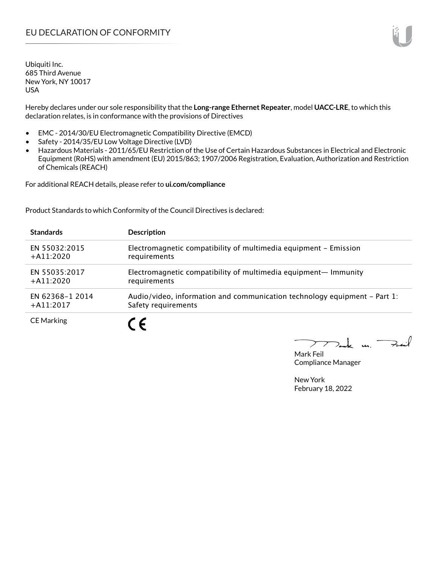Ubiquiti Inc. 685 Third Avenue New York, NY 10017 USA

Hereby declares under our sole responsibility that the **Long-range Ethernet Repeater**, model **UACC-LRE**, to which this declaration relates, is in conformance with the provisions of Directives

- EMC 2014/30/EU Electromagnetic Compatibility Directive (EMCD)
- Safety 2014/35/EU Low Voltage Directive (LVD)
- Hazardous Materials 2011/65/EU Restriction of the Use of Certain Hazardous Substances in Electrical and Electronic Equipment (RoHS) with amendment (EU) 2015/863; 1907/2006 Registration, Evaluation, Authorization and Restriction of Chemicals (REACH)

For additional REACH details, please refer to **ui.com/compliance**

Product Standards to which Conformity of the Council Directives is declared:

| <b>Standards</b>  | <b>Description</b>                                                        |
|-------------------|---------------------------------------------------------------------------|
| EN 55032:2015     | Electromagnetic compatibility of multimedia equipment - Emission          |
| $+$ A11:2020      | requirements                                                              |
| EN 55035:2017     | Electromagnetic compatibility of multimedia equipment- Immunity           |
| $+$ A11:2020      | requirements                                                              |
| EN 62368-1 2014   | Audio/video, information and communication technology equipment – Part 1: |
| $+A11:2017$       | Safety requirements                                                       |
| <b>CE Marking</b> |                                                                           |

Tak m. Fail  $\triangleright$ 

Mark Feil Compliance Manager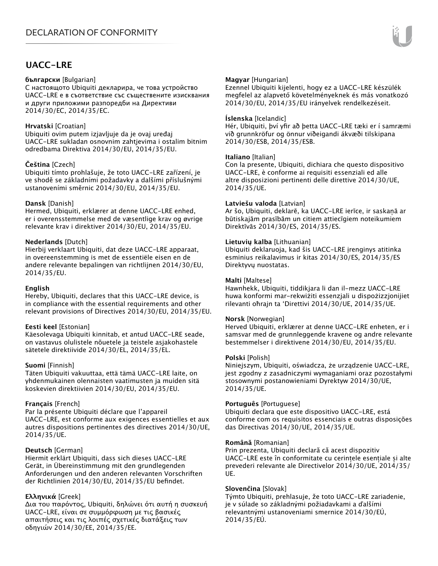### **UACC-LRE**

#### **български** [Bulgarian]

С настоящото Ubiquiti декларира, че това устройство UACC-LRE е в съответствие със съществените изисквания и други приложими разпоредби на Директиви 2014/30/ЕС, 2014/35/ЕС.

#### **Hrvatski** [Croatian]

Ubiquiti ovim putem izjavljuje da je ovaj uređaj UACC-LRE sukladan osnovnim zahtjevima i ostalim bitnim odredbama Direktiva 2014/30/EU, 2014/35/EU.

#### **Čeština** [Czech]

Ubiquiti tímto prohlašuje, že toto UACC-LRE zařízení, je ve shodě se základními požadavky a dalšími příslušnými ustanoveními směrnic 2014/30/EU, 2014/35/EU.

#### **Dansk** [Danish]

Hermed, Ubiquiti, erklærer at denne UACC-LRE enhed, er i overensstemmelse med de væsentlige krav og øvrige relevante krav i direktiver 2014/30/EU, 2014/35/EU.

#### **Nederlands** [Dutch]

Hierbij verklaart Ubiquiti, dat deze UACC-LRE apparaat, in overeenstemming is met de essentiële eisen en de andere relevante bepalingen van richtlijnen 2014/30/EU, 2014/35/EU.

#### **English**

Hereby, Ubiquiti, declares that this UACC-LRE device, is in compliance with the essential requirements and other relevant provisions of Directives 2014/30/EU, 2014/35/EU.

#### **Eesti keel** [Estonian]

Käesolevaga Ubiquiti kinnitab, et antud UACC-LRE seade, on vastavus olulistele nõuetele ja teistele asjakohastele sätetele direktiivide 2014/30/EL, 2014/35/EL.

#### **Suomi** [Finnish]

Täten Ubiquiti vakuuttaa, että tämä UACC-LRE laite, on yhdenmukainen olennaisten vaatimusten ja muiden sitä koskevien direktiivien 2014/30/EU, 2014/35/EU.

#### **Français** [French]

Par la présente Ubiquiti déclare que l'appareil UACC-LRE, est conforme aux exigences essentielles et aux autres dispositions pertinentes des directives 2014/30/UE, 2014/35/UE.

#### **Deutsch** [German]

Hiermit erklärt Ubiquiti, dass sich dieses UACC-LRE Gerät, in Übereinstimmung mit den grundlegenden Anforderungen und den anderen relevanten Vorschriften der Richtlinien 2014/30/EU, 2014/35/EU befindet.

#### **Ελληνικά** [Greek]

Δια του παρόντος, Ubiquiti, δηλώνει ότι αυτή η συσκευή UACC-LRE, είναι σε συμμόρφωση με τις βασικές απαιτήσεις και τις λοιπές σχετικές διατάξεις των οδηγιών 2014/30/EE, 2014/35/EE.

#### **Magyar** [Hungarian]

Ezennel Ubiquiti kijelenti, hogy ez a UACC-LRE készülék megfelel az alapvető követelményeknek és más vonatkozó 2014/30/EU, 2014/35/EU irányelvek rendelkezéseit.

#### **Íslenska** [Icelandic]

Hér, Ubiquiti, því yfir að þetta UACC-LRE tæki er í samræmi við grunnkröfur og önnur viðeigandi ákvæði tilskipana 2014/30/ESB, 2014/35/ESB.

#### **Italiano** [Italian]

Con la presente, Ubiquiti, dichiara che questo dispositivo UACC-LRE, è conforme ai requisiti essenziali ed alle altre disposizioni pertinenti delle direttive 2014/30/UE, 2014/35/UE.

#### **Latviešu valoda** [Latvian]

Ar šo, Ubiquiti, deklarē, ka UACC-LRE ierīce, ir saskaņā ar būtiskajām prasībām un citiem attiecīgiem noteikumiem Direktīvās 2014/30/ES, 2014/35/ES.

#### **Lietuvių kalba** [Lithuanian]

Ubiquiti deklaruoja, kad šis UACC-LRE įrenginys atitinka esminius reikalavimus ir kitas 2014/30/ES, 2014/35/ES Direktyvų nuostatas.

#### **Malti** [Maltese]

Hawnhekk, Ubiquiti, tiddikjara li dan il-mezz UACC-LRE huwa konformi mar-rekwiżiti essenzjali u dispożizzjonijiet rilevanti oħrajn ta 'Direttivi 2014/30/UE, 2014/35/UE.

#### **Norsk** [Norwegian]

Herved Ubiquiti, erklærer at denne UACC-LRE enheten, er i samsvar med de grunnleggende kravene og andre relevante bestemmelser i direktivene 2014/30/EU, 2014/35/EU.

#### **Polski** [Polish]

Niniejszym, Ubiquiti, oświadcza, że urządzenie UACC-LRE, jest zgodny z zasadniczymi wymaganiami oraz pozostałymi stosownymi postanowieniami Dyrektyw 2014/30/UE, 2014/35/UE.

#### **Português** [Portuguese]

Ubiquiti declara que este dispositivo UACC-LRE, está conforme com os requisitos essenciais e outras disposições das Directivas 2014/30/UE, 2014/35/UE.

#### **Română** [Romanian]

Prin prezenta, Ubiquiti declară că acest dispozitiv UACC-LRE este în conformitate cu cerințele esențiale și alte prevederi relevante ale Directivelor 2014/30/UE, 2014/35/ UE.

#### **Slovenčina** [Slovak]

Týmto Ubiquiti, prehlasuje, že toto UACC-LRE zariadenie, je v súlade so základnými požiadavkami a ďalšími relevantnými ustanoveniami smernice 2014/30/EÚ, 2014/35/EÚ.

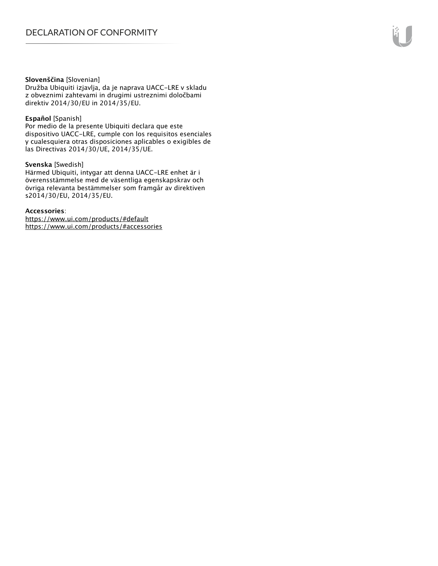#### **Slovenščina** [Slovenian]

Družba Ubiquiti izjavlja, da je naprava UACC-LRE v skladu z obveznimi zahtevami in drugimi ustreznimi določbami direktiv 2014/30/EU in 2014/35/EU.

#### **Español** [Spanish]

Por medio de la presente Ubiquiti declara que este dispositivo UACC-LRE, cumple con los requisitos esenciales y cualesquiera otras disposiciones aplicables o exigibles de las Directivas 2014/30/UE, 2014/35/UE.

#### **Svenska** [Swedish]

Härmed Ubiquiti, intygar att denna UACC-LRE enhet är i överensstämmelse med de väsentliga egenskapskrav och övriga relevanta bestämmelser som framgår av direktiven s2014/30/EU, 2014/35/EU.

#### **Accessories**:

https://www.ui.com/products/#default https://www.ui.com/products/#accessories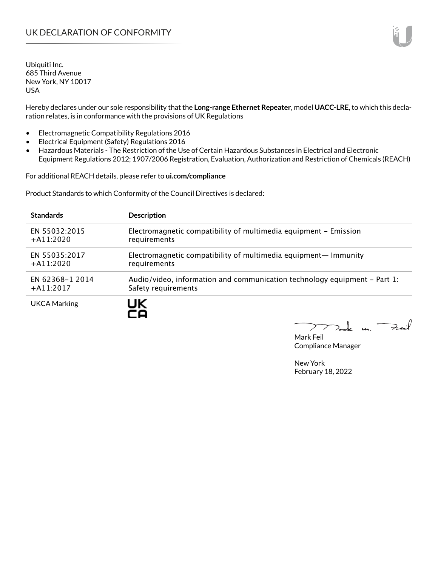Ubiquiti Inc. 685 Third Avenue New York, NY 10017 USA

Hereby declares under our sole responsibility that the **Long-range Ethernet Repeater**, model **UACC-LRE**, to which this declaration relates, is in conformance with the provisions of UK Regulations

- Electromagnetic Compatibility Regulations 2016
- Electrical Equipment (Safety) Regulations 2016
- Hazardous Materials The Restriction of the Use of Certain Hazardous Substances in Electrical and Electronic Equipment Regulations 2012; 1907/2006 Registration, Evaluation, Authorization and Restriction of Chemicals (REACH)

For additional REACH details, please refer to **ui.com/compliance**

Product Standards to which Conformity of the Council Directives is declared:

| <b>Standards</b>    | <b>Description</b>                                                        |
|---------------------|---------------------------------------------------------------------------|
| EN 55032:2015       | Electromagnetic compatibility of multimedia equipment - Emission          |
| $+A11:2020$         | requirements                                                              |
| EN 55035:2017       | Electromagnetic compatibility of multimedia equipment— Immunity           |
| $+$ A11:2020        | requirements                                                              |
| EN 62368-1 2014     | Audio/video, information and communication technology equipment – Part 1: |
| $+$ A11:2017        | Safety requirements                                                       |
| <b>UKCA Marking</b> | UK                                                                        |

Tak un Fail  $\blacktriangleright$ 

Mark Feil Compliance Manager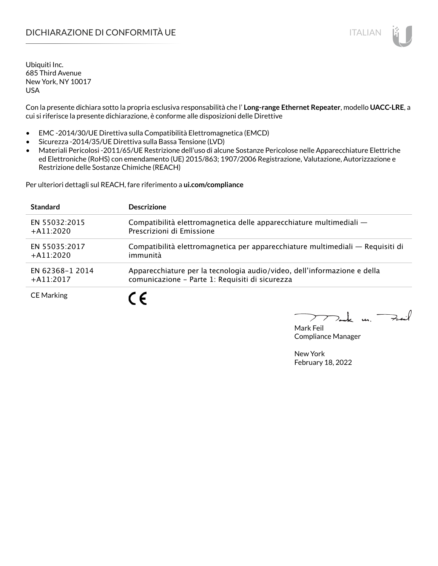## DICHIARAZIONE DI CONFORMITÀ UE ITALIAN ITALIAN

Ubiquiti Inc. 685 Third Avenue New York, NY 10017 USA

Con la presente dichiara sotto la propria esclusiva responsabilità che l' **Long-range Ethernet Repeater**, modello **UACC-LRE**, a cui si riferisce la presente dichiarazione, è conforme alle disposizioni delle Direttive

- EMC -2014/30/UE Direttiva sulla Compatibilità Elettromagnetica (EMCD)
- Sicurezza -2014/35/UE Direttiva sulla Bassa Tensione (LVD)
- Materiali Pericolosi -2011/65/UE Restrizione dell'uso di alcune Sostanze Pericolose nelle Apparecchiature Elettriche ed Elettroniche (RoHS) con emendamento (UE) 2015/863; 1907/2006 Registrazione, Valutazione, Autorizzazione e Restrizione delle Sostanze Chimiche (REACH)

Per ulteriori dettagli sul REACH, fare riferimento a **ui.com/compliance**

| <b>Standard</b>   | <b>Descrizione</b>                                                             |
|-------------------|--------------------------------------------------------------------------------|
| EN 55032:2015     | Compatibilità elettromagnetica delle apparecchiature multimediali -            |
| $+A11:2020$       | Prescrizioni di Emissione                                                      |
| EN 55035:2017     | Compatibilità elettromagnetica per apparecchiature multimediali — Requisiti di |
| $+A11:2020$       | immunità                                                                       |
| EN 62368-1 2014   | Apparecchiature per la tecnologia audio/video, dell'informazione e della       |
| $+A11:2017$       | comunicazione - Parte 1: Requisiti di sicurezza                                |
| <b>CE Marking</b> |                                                                                |

 $\Rightarrow$ inf  $\mathbf{u}$ 

Mark Feil Compliance Manager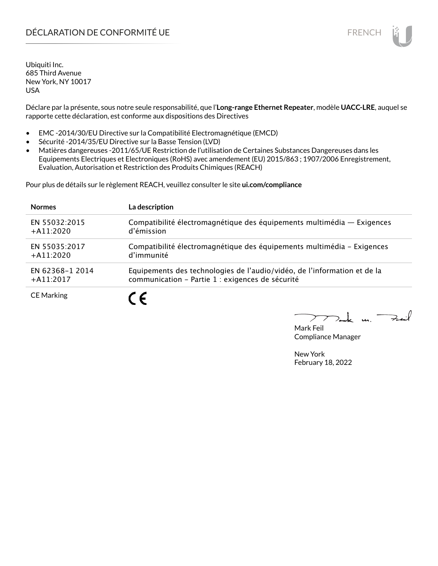## DÉCLARATION DE CONFORMITÉ UE EN ENCHANGEMENT DE CONFORMITÉ UNE ENCHANGEMENT DE CONFORMITÉ UNE ENCHANGEMENT DE

Ubiquiti Inc. 685 Third Avenue New York, NY 10017 USA

Déclare par la présente, sous notre seule responsabilité, que l'**Long-range Ethernet Repeater**, modèle **UACC-LRE**, auquel se rapporte cette déclaration, est conforme aux dispositions des Directives

- EMC -2014/30/EU Directive sur la Compatibilité Electromagnétique (EMCD)
- Sécurité -2014/35/EU Directive sur la Basse Tension (LVD)
- Matières dangereuses -2011/65/UE Restriction de l'utilisation de Certaines Substances Dangereuses dans les Equipements Electriques et Electroniques (RoHS) avec amendement (EU) 2015/863 ; 1907/2006 Enregistrement, Evaluation, Autorisation et Restriction des Produits Chimiques (REACH)

Pour plus de détails sur le règlement REACH, veuillez consulter le site **ui.com/compliance**

| <b>Normes</b>     | La description                                                           |
|-------------------|--------------------------------------------------------------------------|
| EN 55032:2015     | Compatibilité électromagnétique des équipements multimédia - Exigences   |
| $+A11:2020$       | d'émission                                                               |
| EN 55035:2017     | Compatibilité électromagnétique des équipements multimédia - Exigences   |
| $+A11:2020$       | d'immunité                                                               |
| EN 62368-1 2014   | Equipements des technologies de l'audio/vidéo, de l'information et de la |
| $+$ A11:2017      | communication - Partie 1 : exigences de sécurité                         |
| <b>CE Marking</b> |                                                                          |

لأبدحة  $\mathbf{u}$ 

Mark Feil Compliance Manager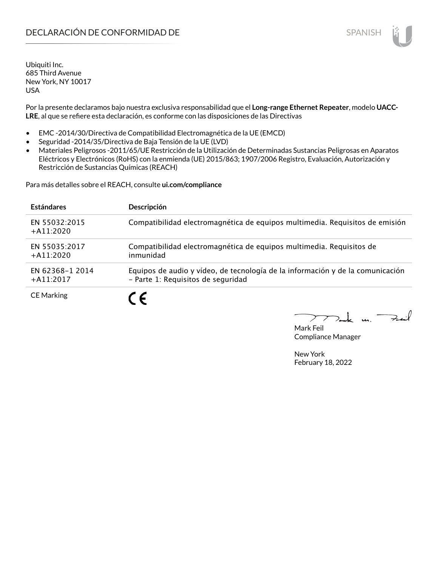## **DECLARACIÓN DE CONFORMIDAD DE SPANISH EN EL SERVIS EN EL SERVISH**

Ubiquiti Inc. 685 Third Avenue New York, NY 10017 USA

Por la presente declaramos bajo nuestra exclusiva responsabilidad que el **Long-range Ethernet Repeater**, modelo **UACC-LRE**, al que se refiere esta declaración, es conforme con las disposiciones de las Directivas

- EMC -2014/30/Directiva de Compatibilidad Electromagnética de la UE (EMCD)
- Seguridad -2014/35/Directiva de Baja Tensión de la UE (LVD)
- Materiales Peligrosos -2011/65/UE Restricción de la Utilización de Determinadas Sustancias Peligrosas en Aparatos Eléctricos y Electrónicos (RoHS) con la enmienda (UE) 2015/863; 1907/2006 Registro, Evaluación, Autorización y Restricción de Sustancias Químicas (REACH)

Para más detalles sobre el REACH, consulte **ui.com/compliance**

| <b>Estándares</b>               | Descripción                                                                                                          |
|---------------------------------|----------------------------------------------------------------------------------------------------------------------|
| EN 55032:2015<br>$+A11:2020$    | Compatibilidad electromagnética de equipos multimedia. Requisitos de emisión                                         |
| EN 55035:2017<br>$+A11:2020$    | Compatibilidad electromagnética de equipos multimedia. Requisitos de<br>inmunidad                                    |
| EN 62368-1 2014<br>$+$ A11:2017 | Equipos de audio y vídeo, de tecnología de la información y de la comunicación<br>- Parte 1: Requisitos de seguridad |
| <b>CE Marking</b>               | - 6                                                                                                                  |

Mark Feil Compliance Manager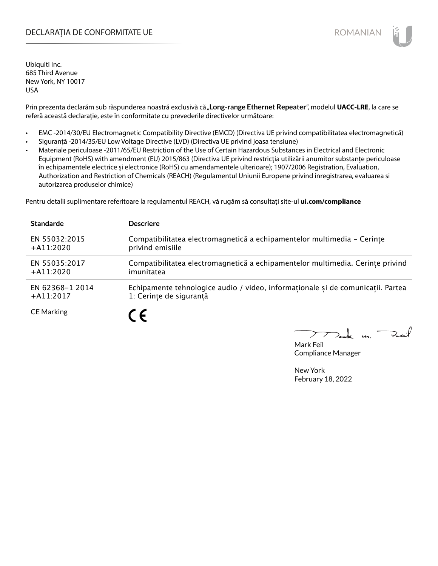### DECLARAȚIA DE CONFORMITATE UE EXTERNATION ANNO 1999 EN ANNO 1999 ROMANIAN

Ubiquiti Inc. 685 Third Avenue New York, NY 10017 USA

Prin prezenta declarăm sub răspunderea noastră exclusivă că "**Long-range Ethernet Repeater**", modelul **UACC-LRE**, la care se referă această declarație, este în conformitate cu prevederile directivelor următoare:

- EMC -2014/30/EU Electromagnetic Compatibility Directive (EMCD) (Directiva UE privind compatibilitatea electromagnetică)
- Siguranță -2014/35/EU Low Voltage Directive (LVD) (Directiva UE privind joasa tensiune)
- Materiale periculoase -2011/65/EU Restriction of the Use of Certain Hazardous Substances in Electrical and Electronic Equipment (RoHS) with amendment (EU) 2015/863 (Directiva UE privind restricția utilizării anumitor substanțe periculoase în echipamentele electrice și electronice (RoHS) cu amendamentele ulterioare); 1907/2006 Registration, Evaluation, Authorization and Restriction of Chemicals (REACH) (Regulamentul Uniunii Europene privind înregistrarea, evaluarea si autorizarea produselor chimice)

Pentru detalii suplimentare referitoare la regulamentul REACH, vă rugăm să consultați site-ul **ui.com/compliance**

| <b>Standarde</b>  | <b>Descriere</b>                                                                |
|-------------------|---------------------------------------------------------------------------------|
| EN 55032:2015     | Compatibilitatea electromagnetică a echipamentelor multimedia - Cerinte         |
| $+A11:2020$       | privind emisiile                                                                |
| EN 55035:2017     | Compatibilitatea electromagnetică a echipamentelor multimedia. Cerințe privind  |
| $+A11:2020$       | imunitatea                                                                      |
| EN 62368-1 2014   | Echipamente tehnologice audio / video, informaționale și de comunicații. Partea |
| $+A11:2017$       | 1: Cerințe de siguranță                                                         |
| <b>CE Marking</b> |                                                                                 |

 $m.$  Fail

Mark Feil Compliance Manager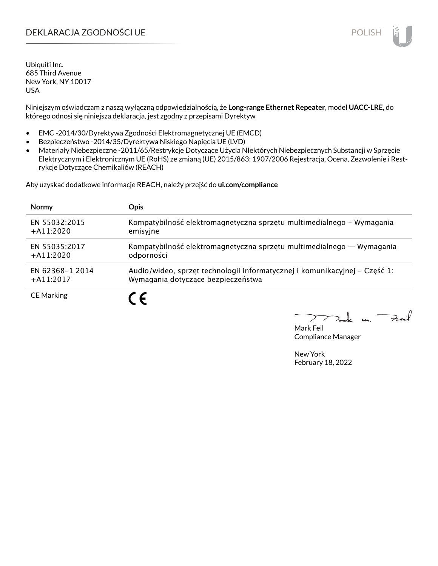## DEKLARACJA ZGODNOŚCI UE POLISH

Ubiquiti Inc. 685 Third Avenue New York, NY 10017 USA

Niniejszym oświadczam z naszą wyłączną odpowiedzialnością, że **Long-range Ethernet Repeater**, model **UACC-LRE**, do którego odnosi się niniejsza deklaracja, jest zgodny z przepisami Dyrektyw

- EMC -2014/30/Dyrektywa Zgodności Elektromagnetycznej UE (EMCD)
- Bezpieczeństwo -2014/35/Dyrektywa Niskiego Napięcia UE (LVD)
- Materiały Niebezpieczne -2011/65/Restrykcje Dotyczące Użycia NIektórych Niebezpiecznych Substancji w Sprzęcie Elektrycznym i Elektronicznym UE (RoHS) ze zmianą (UE) 2015/863; 1907/2006 Rejestracja, Ocena, Zezwolenie i Restrykcje Dotyczące Chemikaliów (REACH)

Aby uzyskać dodatkowe informacje REACH, należy przejść do **ui.com/compliance**

| <b>Normy</b>      | <b>Opis</b>                                                                |
|-------------------|----------------------------------------------------------------------------|
| EN 55032:2015     | Kompatybilność elektromagnetyczna sprzętu multimedialnego – Wymagania      |
| $+$ A11:2020      | emisyjne                                                                   |
| EN 55035:2017     | Kompatybilność elektromagnetyczna sprzętu multimedialnego — Wymagania      |
| $+A11:2020$       | odporności                                                                 |
| EN 62368-1 2014   | Audio/wideo, sprzęt technologii informatycznej i komunikacyjnej – Część 1: |
| $+$ A11:2017      | Wymagania dotyczące bezpieczeństwa                                         |
| <b>CE Marking</b> |                                                                            |

لأمدحة  $\mathbf{u}$ 

Mark Feil Compliance Manager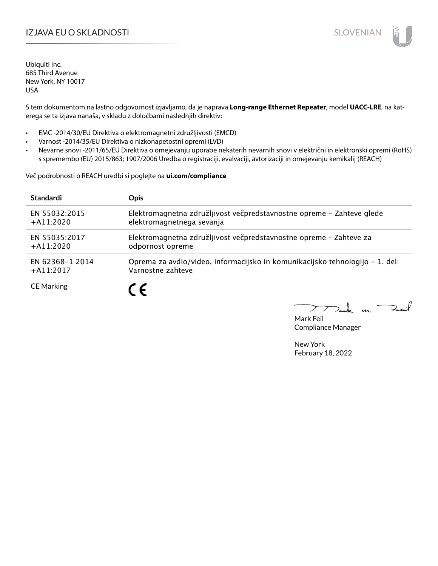## I**ZJAVA EU O SKLADNOSTI** SLOVENIAN

Ubiquiti Inc. 685 Third Avenue New York, NY 10017 USA

S tem dokumentom na lastno odgovornost izjavljamo, da je naprava **Long-range Ethernet Repeater**, model **UACC-LRE**, na katerega se ta izjava nanaša, v skladu z določbami naslednjih direktiv:

- EMC -2014/30/EU Direktiva o elektromagnetni združljivosti (EMCD)
- Varnost -2014/35/EU Direktiva o nizkonapetostni opremi (LVD)
- Nevarne snovi -2011/65/EU Direktiva o omejevanju uporabe nekaterih nevarnih snovi v električni in elektronski opremi (RoHS) s spremembo (EU) 2015/863; 1907/2006 Uredba o registraciji, evalvaciji, avtorizaciji in omejevanju kemikalij (REACH)

Več podrobnosti o REACH uredbi si poglejte na **ui.com/compliance**

| <b>Standardi</b>  | <b>Opis</b>                                                                  |
|-------------------|------------------------------------------------------------------------------|
| EN 55032:2015     | Elektromagnetna združljivost večpredstavnostne opreme - Zahteve glede        |
| $+$ A11:2020      | elektromagnetnega sevanja                                                    |
| EN 55035:2017     | Elektromagnetna združljivost večpredstavnostne opreme - Zahteve za           |
| $+$ A11:2020      | odpornost opreme                                                             |
| EN 62368-1 2014   | Oprema za avdio/video, informacijsko in komunikacijsko tehnologijo – 1. del: |
| $+$ A11:2017      | Varnostne zahteve                                                            |
| <b>CE Marking</b> |                                                                              |

 $k$  un  $\rightarrow$ 

Mark Feil Compliance Manager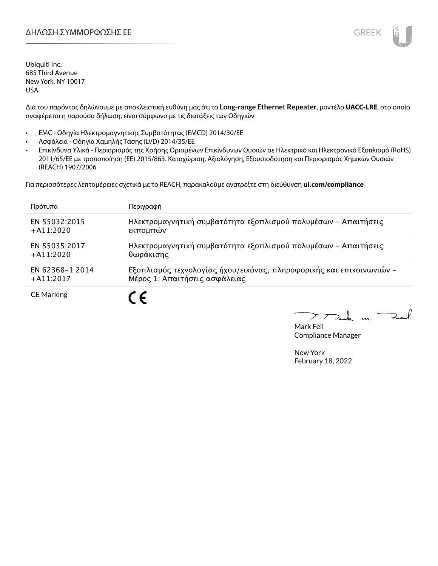

Ubiquiti Inc. 685 Third Avenue New York, NY 10017 USA

Διά του παρόντος δηλώνουμε με αποκλειστική ευθύνη μας ότι το **Long-range Ethernet Repeater**, μοντέλο **UACC-LRE**, στο οποίο αναφέρεται η παρούσα δήλωση, είναι σύμφωνο με τις διατάξεις των Οδηγιών

- EMC Οδηγία Ηλεκτρομαγνητικής Συμβατότητας (EMCD) 2014/30/ΕΕ
- Ασφάλεια Οδηγία Χαμηλής Τάσης (LVD) 2014/35/ΕΕ
- Επικίνδυνα Υλικά Περιορισμός της Χρήσης Ορισμένων Επικίνδυνων Ουσιών σε Ηλεκτρικό και Ηλεκτρονικό Εξοπλισμό (RoHS) 2011/65/ΕΕ με τροποποίηση (ΕΕ) 2015/863. Καταχώριση, Αξιολόγηση, Εξουσιοδότηση και Περιορισμός Χημικών Ουσιών (REACH) 1907/2006

Για περισσότερες λεπτομέρειες σχετικά με το REACH, παρακαλούμε ανατρέξτε στη διεύθυνση **ui.com/compliance**

| Πρότυπα           | Περιγραφή                                                            |
|-------------------|----------------------------------------------------------------------|
| EN 55032:2015     | Ηλεκτρομαγνητική συμβατότητα εξοπλισμού πολυμέσων - Απαιτήσεις       |
| $+$ A11:2020      | εκπομπών                                                             |
| EN 55035:2017     | Ηλεκτρομαγνητική συμβατότητα εξοπλισμού πολυμέσων - Απαιτήσεις       |
| $+A11:2020$       | θωράκισης                                                            |
| EN 62368-1 2014   | Εξοπλισμός τεχνολογίας ήχου/εικόνας, πληροφορικής και επικοινωνιών - |
| $+$ A11:2017      | Μέρος 1: Απαιτήσεις ασφάλειας                                        |
| <b>CE Marking</b> |                                                                      |

 $\rightarrow$ t u

Mark Feil Compliance Manager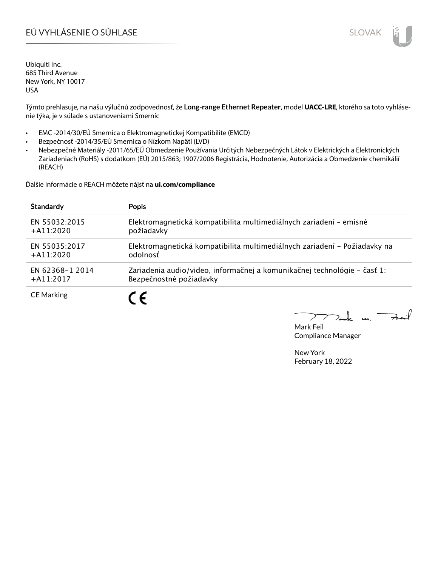# EÚ VYHLÁSENIE O SÚHLASE SLOVAK SLOVAK

Ubiquiti Inc. 685 Third Avenue New York, NY 10017 USA

Týmto prehlasuje, na našu výlučnú zodpovednosť, že **Long-range Ethernet Repeater**, model **UACC-LRE**, ktorého sa toto vyhlásenie týka, je v súlade s ustanoveniami Smerníc

- EMC -2014/30/EÚ Smernica o Elektromagnetickej Kompatibilite (EMCD)
- Bezpečnosť -2014/35/EÚ Smernica o Nízkom Napätí (LVD)
- Nebezpečné Materiály -2011/65/EÚ Obmedzenie Používania Určitých Nebezpečných Látok v Elektrických a Elektronických Zariadeniach (RoHS) s dodatkom (EÚ) 2015/863; 1907/2006 Registrácia, Hodnotenie, Autorizácia a Obmedzenie chemikálií (REACH)

Ďalšie informácie o REACH môžete nájsť na **ui.com/compliance**

| Štandardy         | <b>Popis</b>                                                              |
|-------------------|---------------------------------------------------------------------------|
| EN 55032:2015     | Elektromagnetická kompatibilita multimediálnych zariadení - emisné        |
| $+$ A11:2020      | požiadavky                                                                |
| EN 55035:2017     | Elektromagnetická kompatibilita multimediálnych zariadení – Požiadavky na |
| $+A11:2020$       | odolnosť                                                                  |
| EN 62368-1 2014   | Zariadenia audio/video, informačnej a komunikačnej technológie – časť 1:  |
| $+$ A11:2017      | Bezpečnostné požiadavky                                                   |
| <b>CE Marking</b> |                                                                           |

Fail  $\mathbf{L}$  $\mathbf{u}$ 

Mark Feil Compliance Manager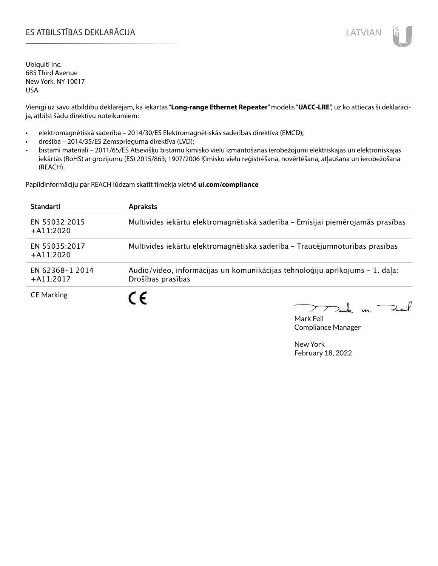### ES ATBILSTĪBAS DEKLARĀCIJA VALODAS ARĀ ATBILSTĪBAS DEKLARĀCIJA VALODAS ARĀ ATBILSTĪBAS DEKLARĀCIJA VALODAS ARĀ

Ubiquiti Inc. 685 Third Avenue New York, NY 10017 USA

Vienīgi uz savu atbildību deklarējam, ka iekārtas "**Long-range Ethernet Repeater**" modelis "**UACC-LRE**", uz ko attiecas šī deklarācija, atbilst šādu direktīvu noteikumiem:

- elektromagnētiskā saderība 2014/30/ES Elektromagnētiskās saderības direktīva (EMCD);
- drošība 2014/35/ES Zemsprieguma direktīva (LVD);
- bīstami materiāli 2011/65/ES Atsevišķu bīstamu ķīmisko vielu izmantošanas ierobežojumi elektriskajās un elektroniskajās iekārtās (RoHS) ar grozījumu (ES) 2015/863; 1907/2006 Ķīmisko vielu reģistrēšana, novērtēšana, atļaušana un ierobežošana (REACH).

Papildinformāciju par REACH lūdzam skatīt tīmekļa vietnē **ui.com/compliance**

| <b>Standarti</b>                | <b>Apraksts</b>                                                                                   |
|---------------------------------|---------------------------------------------------------------------------------------------------|
| EN 55032:2015<br>$+A11:2020$    | Multivides iekārtu elektromagnētiskā saderība - Emisijai piemērojamās prasības                    |
| EN 55035:2017<br>$+A11:2020$    | Multivides iekārtu elektromagnētiskā saderība - Traucējumnoturības prasības                       |
| EN 62368-1 2014<br>$+$ A11:2017 | Audio/video, informācijas un komunikācijas tehnoloģiju aprīkojums - 1. daļa:<br>Drošības prasības |
| <b>CE Marking</b>               |                                                                                                   |

 $\sum_{n=1}^{\infty}$  in Fail

Mark Feil Compliance Manager